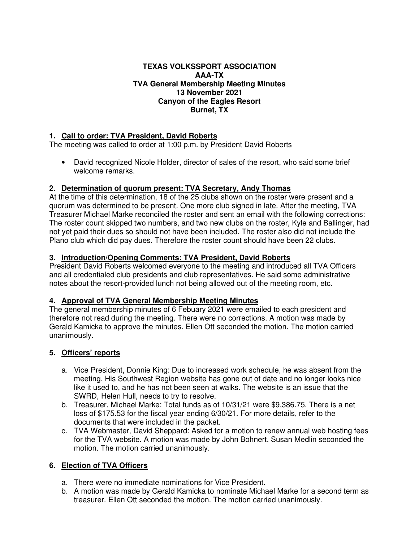#### **TEXAS VOLKSSPORT ASSOCIATION AAA-TX TVA General Membership Meeting Minutes 13 November 2021 Canyon of the Eagles Resort Burnet, TX**

### **1. Call to order: TVA President, David Roberts**

The meeting was called to order at 1:00 p.m. by President David Roberts

• David recognized Nicole Holder, director of sales of the resort, who said some brief welcome remarks.

# **2. Determination of quorum present: TVA Secretary, Andy Thomas**

At the time of this determination, 18 of the 25 clubs shown on the roster were present and a quorum was determined to be present. One more club signed in late. After the meeting, TVA Treasurer Michael Marke reconciled the roster and sent an email with the following corrections: The roster count skipped two numbers, and two new clubs on the roster, Kyle and Ballinger, had not yet paid their dues so should not have been included. The roster also did not include the Plano club which did pay dues. Therefore the roster count should have been 22 clubs.

# **3. Introduction/Opening Comments: TVA President, David Roberts**

President David Roberts welcomed everyone to the meeting and introduced all TVA Officers and all credentialed club presidents and club representatives. He said some administrative notes about the resort-provided lunch not being allowed out of the meeting room, etc.

### **4. Approval of TVA General Membership Meeting Minutes**

The general membership minutes of 6 Febuary 2021 were emailed to each president and therefore not read during the meeting. There were no corrections. A motion was made by Gerald Kamicka to approve the minutes. Ellen Ott seconded the motion. The motion carried unanimously.

### **5. Officers' reports**

- a. Vice President, Donnie King: Due to increased work schedule, he was absent from the meeting. His Southwest Region website has gone out of date and no longer looks nice like it used to, and he has not been seen at walks. The website is an issue that the SWRD, Helen Hull, needs to try to resolve.
- b. Treasurer, Michael Marke: Total funds as of 10/31/21 were \$9,386.75. There is a net loss of \$175.53 for the fiscal year ending 6/30/21. For more details, refer to the documents that were included in the packet.
- c. TVA Webmaster, David Sheppard: Asked for a motion to renew annual web hosting fees for the TVA website. A motion was made by John Bohnert. Susan Medlin seconded the motion. The motion carried unanimously.

# **6. Election of TVA Officers**

- a. There were no immediate nominations for Vice President.
- b. A motion was made by Gerald Kamicka to nominate Michael Marke for a second term as treasurer. Ellen Ott seconded the motion. The motion carried unanimously.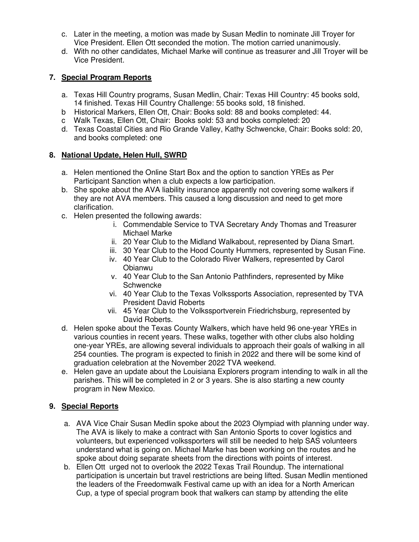- c. Later in the meeting, a motion was made by Susan Medlin to nominate Jill Troyer for Vice President. Ellen Ott seconded the motion. The motion carried unanimously.
- d. With no other candidates, Michael Marke will continue as treasurer and Jill Troyer will be Vice President.

# **7. Special Program Reports**

- a. Texas Hill Country programs, Susan Medlin, Chair: Texas Hill Country: 45 books sold, 14 finished. Texas Hill Country Challenge: 55 books sold, 18 finished.
- b Historical Markers, Ellen Ott, Chair: Books sold: 88 and books completed: 44.
- c Walk Texas, Ellen Ott, Chair: Books sold: 53 and books completed: 20
- d. Texas Coastal Cities and Rio Grande Valley, Kathy Schwencke, Chair: Books sold: 20, and books completed: one

### **8. National Update, Helen Hull, SWRD**

- a. Helen mentioned the Online Start Box and the option to sanction YREs as Per Participant Sanction when a club expects a low participation.
- b. She spoke about the AVA liability insurance apparently not covering some walkers if they are not AVA members. This caused a long discussion and need to get more clarification.
- c. Helen presented the following awards:
	- i. Commendable Service to TVA Secretary Andy Thomas and Treasurer Michael Marke
	- ii. 20 Year Club to the Midland Walkabout, represented by Diana Smart.
	- iii. 30 Year Club to the Hood County Hummers, represented by Susan Fine.
	- iv. 40 Year Club to the Colorado River Walkers, represented by Carol Obianwu
	- v. 40 Year Club to the San Antonio Pathfinders, represented by Mike Schwencke
	- vi. 40 Year Club to the Texas Volkssports Association, represented by TVA President David Roberts
	- vii. 45 Year Club to the Volkssportverein Friedrichsburg, represented by David Roberts.
- d. Helen spoke about the Texas County Walkers, which have held 96 one-year YREs in various counties in recent years. These walks, together with other clubs also holding one-year YREs, are allowing several individuals to approach their goals of walking in all 254 counties. The program is expected to finish in 2022 and there will be some kind of graduation celebration at the November 2022 TVA weekend.
- e. Helen gave an update about the Louisiana Explorers program intending to walk in all the parishes. This will be completed in 2 or 3 years. She is also starting a new county program in New Mexico.

# **9. Special Reports**

- a. AVA Vice Chair Susan Medlin spoke about the 2023 Olympiad with planning under way. The AVA is likely to make a contract with San Antonio Sports to cover logistics and volunteers, but experienced volkssporters will still be needed to help SAS volunteers understand what is going on. Michael Marke has been working on the routes and he spoke about doing separate sheets from the directions with points of interest.
- b. Ellen Ott urged not to overlook the 2022 Texas Trail Roundup. The international participation is uncertain but travel restrictions are being lifted. Susan Medlin mentioned the leaders of the Freedomwalk Festival came up with an idea for a North American Cup, a type of special program book that walkers can stamp by attending the elite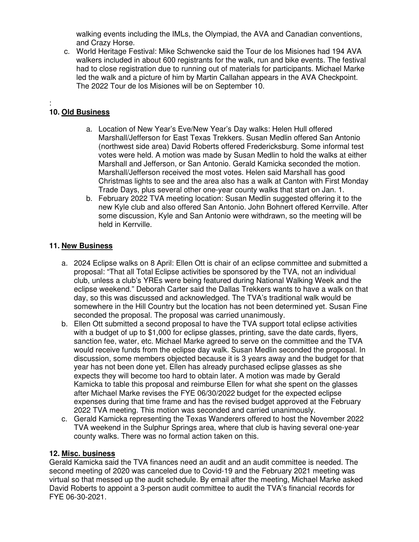walking events including the IMLs, the Olympiad, the AVA and Canadian conventions, and Crazy Horse.

c. World Heritage Festival: Mike Schwencke said the Tour de los Misiones had 194 AVA walkers included in about 600 registrants for the walk, run and bike events. The festival had to close registration due to running out of materials for participants. Michael Marke led the walk and a picture of him by Martin Callahan appears in the AVA Checkpoint. The 2022 Tour de los Misiones will be on September 10.

#### : **10. Old Business**

- a. Location of New Year's Eve/New Year's Day walks: Helen Hull offered Marshall/Jefferson for East Texas Trekkers. Susan Medlin offered San Antonio (northwest side area) David Roberts offered Fredericksburg. Some informal test votes were held. A motion was made by Susan Medlin to hold the walks at either Marshall and Jefferson, or San Antonio. Gerald Kamicka seconded the motion. Marshall/Jefferson received the most votes. Helen said Marshall has good Christmas lights to see and the area also has a walk at Canton with First Monday Trade Days, plus several other one-year county walks that start on Jan. 1.
- b. February 2022 TVA meeting location: Susan Medlin suggested offering it to the new Kyle club and also offered San Antonio. John Bohnert offered Kerrville. After some discussion, Kyle and San Antonio were withdrawn, so the meeting will be held in Kerrville.

# **11. New Business**

- a. 2024 Eclipse walks on 8 April: Ellen Ott is chair of an eclipse committee and submitted a proposal: "That all Total Eclipse activities be sponsored by the TVA, not an individual club, unless a club's YREs were being featured during National Walking Week and the eclipse weekend." Deborah Carter said the Dallas Trekkers wants to have a walk on that day, so this was discussed and acknowledged. The TVA's traditional walk would be somewhere in the Hill Country but the location has not been determined yet. Susan Fine seconded the proposal. The proposal was carried unanimously.
- b. Ellen Ott submitted a second proposal to have the TVA support total eclipse activities with a budget of up to \$1,000 for eclipse glasses, printing, save the date cards, flyers, sanction fee, water, etc. Michael Marke agreed to serve on the committee and the TVA would receive funds from the eclipse day walk. Susan Medlin seconded the proposal. In discussion, some members objected because it is 3 years away and the budget for that year has not been done yet. Ellen has already purchased eclipse glasses as she expects they will become too hard to obtain later. A motion was made by Gerald Kamicka to table this proposal and reimburse Ellen for what she spent on the glasses after Michael Marke revises the FYE 06/30/2022 budget for the expected eclipse expenses during that time frame and has the revised budget approved at the February 2022 TVA meeting. This motion was seconded and carried unanimously.
- c. Gerald Kamicka representing the Texas Wanderers offered to host the November 2022 TVA weekend in the Sulphur Springs area, where that club is having several one-year county walks. There was no formal action taken on this.

### **12. Misc. business**

Gerald Kamicka said the TVA finances need an audit and an audit committee is needed. The second meeting of 2020 was canceled due to Covid-19 and the February 2021 meeting was virtual so that messed up the audit schedule. By email after the meeting, Michael Marke asked David Roberts to appoint a 3-person audit committee to audit the TVA's financial records for FYE 06-30-2021.